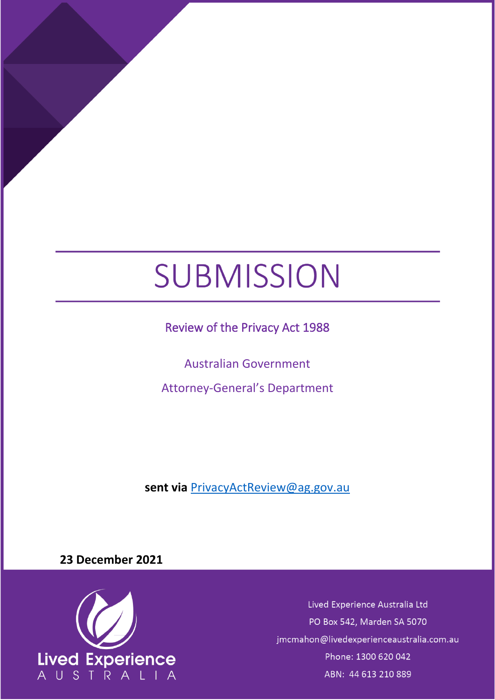# SUBMISSION

Review of the Privacy Act 1988

Australian Government

Attorney-General's Department

**sent via** [PrivacyActReview@ag.gov.au](mailto:PrivacyActReview@ag.gov.au)

**23 December 2021**



Lived Experience Australia Ltd PO Box 542, Marden SA 5070 jmcmahon@livedexperienceaustralia.com.au Phone: 1300 620 042 ABN: 44 613 210 889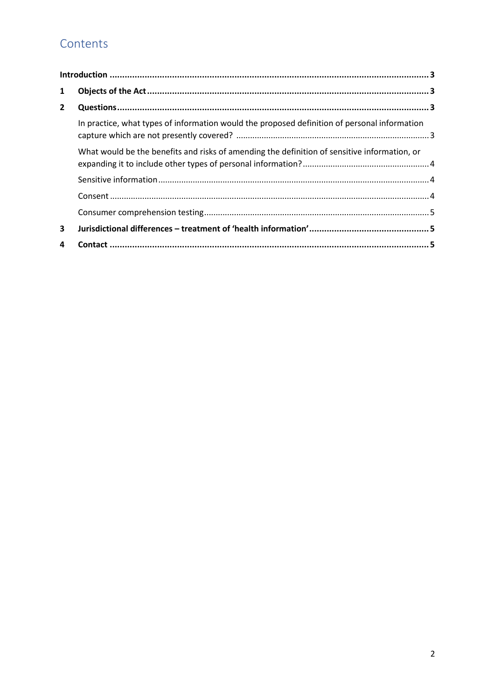## Contents

| $\mathbf{1}$ |                                                                                              |  |
|--------------|----------------------------------------------------------------------------------------------|--|
| $\mathbf{2}$ |                                                                                              |  |
|              | In practice, what types of information would the proposed definition of personal information |  |
|              | What would be the benefits and risks of amending the definition of sensitive information, or |  |
|              |                                                                                              |  |
|              |                                                                                              |  |
|              |                                                                                              |  |
| 3            |                                                                                              |  |
| 4            |                                                                                              |  |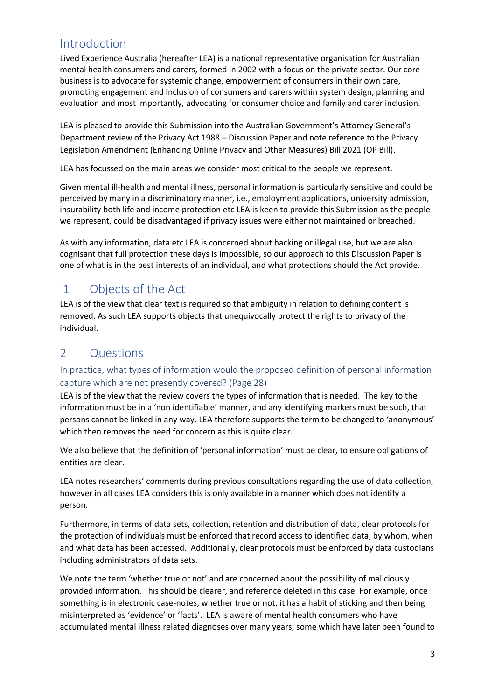## <span id="page-2-0"></span>Introduction

Lived Experience Australia (hereafter LEA) is a national representative organisation for Australian mental health consumers and carers, formed in 2002 with a focus on the private sector. Our core business is to advocate for systemic change, empowerment of consumers in their own care, promoting engagement and inclusion of consumers and carers within system design, planning and evaluation and most importantly, advocating for consumer choice and family and carer inclusion.

LEA is pleased to provide this Submission into the Australian Government's Attorney General's Department review of the Privacy Act 1988 – Discussion Paper and note reference to the Privacy Legislation Amendment (Enhancing Online Privacy and Other Measures) Bill 2021 (OP Bill).

LEA has focussed on the main areas we consider most critical to the people we represent.

Given mental ill-health and mental illness, personal information is particularly sensitive and could be perceived by many in a discriminatory manner, i.e., employment applications, university admission, insurability both life and income protection etc LEA is keen to provide this Submission as the people we represent, could be disadvantaged if privacy issues were either not maintained or breached.

As with any information, data etc LEA is concerned about hacking or illegal use, but we are also cognisant that full protection these days is impossible, so our approach to this Discussion Paper is one of what is in the best interests of an individual, and what protections should the Act provide.

## <span id="page-2-1"></span>1 Objects of the Act

LEA is of the view that clear text is required so that ambiguity in relation to defining content is removed. As such LEA supports objects that unequivocally protect the rights to privacy of the individual.

## <span id="page-2-2"></span>2 Questions

#### <span id="page-2-3"></span>In practice, what types of information would the proposed definition of personal information capture which are not presently covered? (Page 28)

LEA is of the view that the review covers the types of information that is needed. The key to the information must be in a 'non identifiable' manner, and any identifying markers must be such, that persons cannot be linked in any way. LEA therefore supports the term to be changed to 'anonymous' which then removes the need for concern as this is quite clear.

We also believe that the definition of 'personal information' must be clear, to ensure obligations of entities are clear.

LEA notes researchers' comments during previous consultations regarding the use of data collection, however in all cases LEA considers this is only available in a manner which does not identify a person.

Furthermore, in terms of data sets, collection, retention and distribution of data, clear protocols for the protection of individuals must be enforced that record access to identified data, by whom, when and what data has been accessed. Additionally, clear protocols must be enforced by data custodians including administrators of data sets.

We note the term 'whether true or not' and are concerned about the possibility of maliciously provided information. This should be clearer, and reference deleted in this case. For example, once something is in electronic case-notes, whether true or not, it has a habit of sticking and then being misinterpreted as 'evidence' or 'facts'. LEA is aware of mental health consumers who have accumulated mental illness related diagnoses over many years, some which have later been found to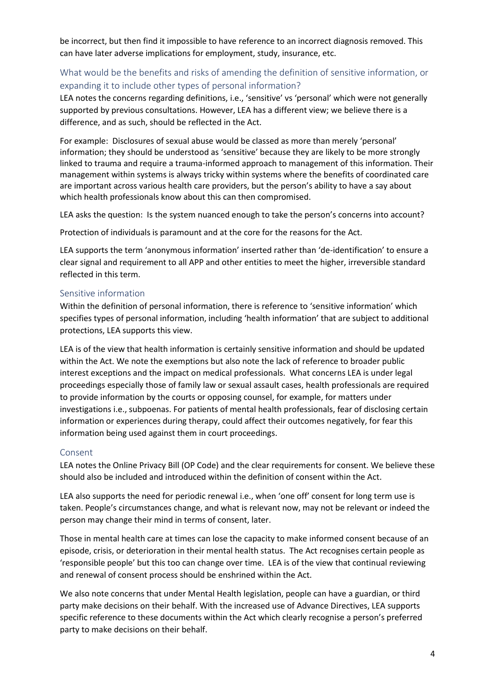be incorrect, but then find it impossible to have reference to an incorrect diagnosis removed. This can have later adverse implications for employment, study, insurance, etc.

#### <span id="page-3-0"></span>What would be the benefits and risks of amending the definition of sensitive information, or expanding it to include other types of personal information?

LEA notes the concerns regarding definitions, i.e., 'sensitive' vs 'personal' which were not generally supported by previous consultations. However, LEA has a different view; we believe there is a difference, and as such, should be reflected in the Act.

For example: Disclosures of sexual abuse would be classed as more than merely 'personal' information; they should be understood as 'sensitive' because they are likely to be more strongly linked to trauma and require a trauma-informed approach to management of this information. Their management within systems is always tricky within systems where the benefits of coordinated care are important across various health care providers, but the person's ability to have a say about which health professionals know about this can then compromised.

LEA asks the question: Is the system nuanced enough to take the person's concerns into account?

Protection of individuals is paramount and at the core for the reasons for the Act.

LEA supports the term 'anonymous information' inserted rather than 'de-identification' to ensure a clear signal and requirement to all APP and other entities to meet the higher, irreversible standard reflected in this term.

#### <span id="page-3-1"></span>Sensitive information

Within the definition of personal information, there is reference to 'sensitive information' which specifies types of personal information, including 'health information' that are subject to additional protections, LEA supports this view.

LEA is of the view that health information is certainly sensitive information and should be updated within the Act. We note the exemptions but also note the lack of reference to broader public interest exceptions and the impact on medical professionals. What concerns LEA is under legal proceedings especially those of family law or sexual assault cases, health professionals are required to provide information by the courts or opposing counsel, for example, for matters under investigations i.e., subpoenas. For patients of mental health professionals, fear of disclosing certain information or experiences during therapy, could affect their outcomes negatively, for fear this information being used against them in court proceedings.

#### <span id="page-3-2"></span>Consent

LEA notes the Online Privacy Bill (OP Code) and the clear requirements for consent. We believe these should also be included and introduced within the definition of consent within the Act.

LEA also supports the need for periodic renewal i.e., when 'one off' consent for long term use is taken. People's circumstances change, and what is relevant now, may not be relevant or indeed the person may change their mind in terms of consent, later.

Those in mental health care at times can lose the capacity to make informed consent because of an episode, crisis, or deterioration in their mental health status. The Act recognises certain people as 'responsible people' but this too can change over time. LEA is of the view that continual reviewing and renewal of consent process should be enshrined within the Act.

We also note concerns that under Mental Health legislation, people can have a guardian, or third party make decisions on their behalf. With the increased use of Advance Directives, LEA supports specific reference to these documents within the Act which clearly recognise a person's preferred party to make decisions on their behalf.